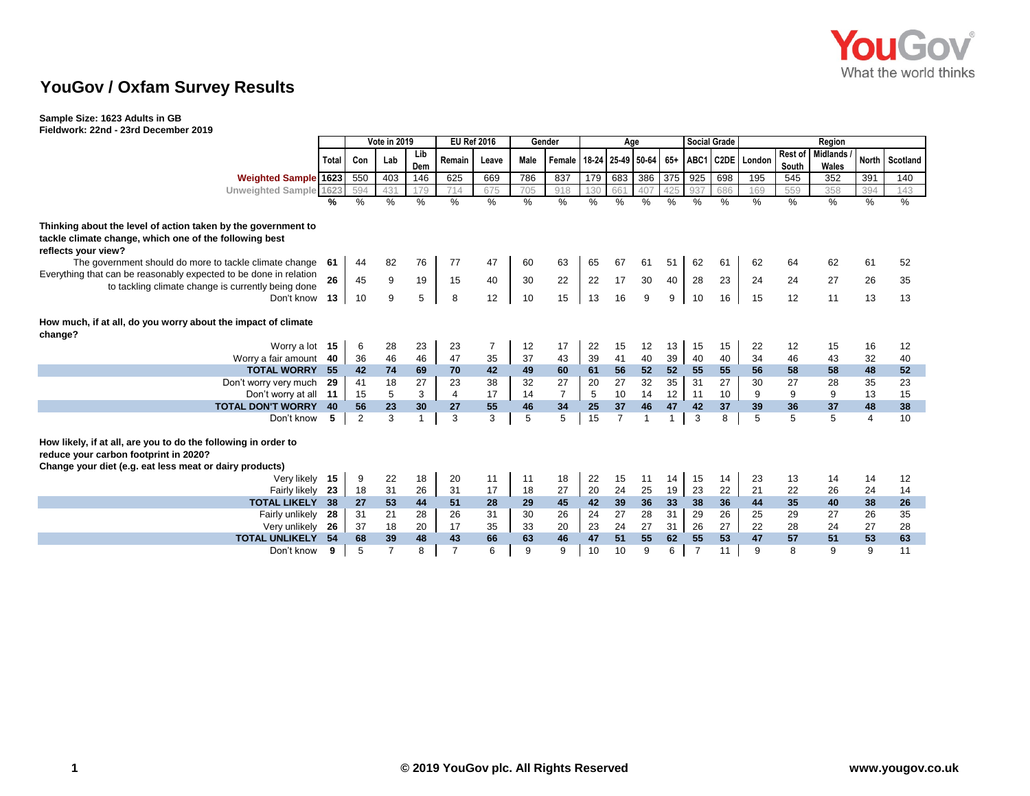

## **YouGov / Oxfam Survey Results**

## **Sample Size: 1623 Adults in GB**

**Fieldwork: 22nd - 23rd December 2019**

|                                                                   |         | Vote in 2019 |                |         | <b>EU Ref 2016</b>   |                | Gender   |                                      | Age              |                |          |               | <b>Social Grade</b> |          |                  | Region   |                 |          |                |  |
|-------------------------------------------------------------------|---------|--------------|----------------|---------|----------------------|----------------|----------|--------------------------------------|------------------|----------------|----------|---------------|---------------------|----------|------------------|----------|-----------------|----------|----------------|--|
|                                                                   | Total I | Con          | Lab            | Lib     | Remain               | Leave          | Male     | Female   18-24   25-49   50-64   65+ |                  |                |          |               |                     |          | ABC1 C2DE London | Rest of  | <b>Midlands</b> |          | North Scotland |  |
|                                                                   |         |              |                | Dem     |                      |                |          |                                      |                  |                |          |               |                     |          |                  | South    | Wales           |          |                |  |
| <b>Weighted Sample 1623</b>                                       |         | 550          | 403            | 146     | 625                  | 669            | 786      | 837                                  | 179              | 683            | 386      | 375           | 925                 | 698      | 195              | 545      | 352             | 391      | 140            |  |
| Unweighted Sample 1623                                            |         | 594          | 431            | 179     | 714                  | 675            | 705      | 918                                  | 130              | 661            | 407      | 425           | 937                 | 686      | 169              | 559      | 358             | 394      | 143            |  |
|                                                                   | %       | %            | %              | %       | $\%$                 | $\%$           | $\%$     | $\%$                                 | $\%$             | %              | $\%$     | $\frac{0}{0}$ | %                   | $\%$     | %                | $\%$     | $\%$            | %        | $\%$           |  |
| Thinking about the level of action taken by the government to     |         |              |                |         |                      |                |          |                                      |                  |                |          |               |                     |          |                  |          |                 |          |                |  |
| tackle climate change, which one of the following best            |         |              |                |         |                      |                |          |                                      |                  |                |          |               |                     |          |                  |          |                 |          |                |  |
| reflects your view?                                               |         |              |                |         |                      |                |          |                                      |                  |                |          |               |                     |          |                  |          |                 |          |                |  |
| The government should do more to tackle climate change            | -61     | 44           | 82             | 76      | 77                   | 47             | 60       | 63                                   | 65               | 67             | 61       | 51            | 62                  | 61       | 62               | 64       | 62              | 61       | 52             |  |
| Everything that can be reasonably expected to be done in relation |         |              |                |         |                      |                |          |                                      |                  |                |          |               |                     |          |                  |          |                 |          |                |  |
| to tackling climate change is currently being done                | 26      | 45           | 9              | 19      | 15                   | 40             | 30       | 22                                   | 22               | 17             | 30       | 40            | 28                  | 23       | 24               | 24       | 27              | 26       | 35             |  |
| Don't know                                                        | 13      | 10           | 9              | 5       | 8                    | 12             | 10       | 15                                   | 13               | 16             | 9        | 9             | 10                  | 16       | 15               | 12       | 11              | 13       | 13             |  |
|                                                                   |         |              |                |         |                      |                |          |                                      |                  |                |          |               |                     |          |                  |          |                 |          |                |  |
| How much, if at all, do you worry about the impact of climate     |         |              |                |         |                      |                |          |                                      |                  |                |          |               |                     |          |                  |          |                 |          |                |  |
| change?                                                           |         |              |                |         |                      |                |          |                                      |                  |                |          |               |                     |          |                  |          |                 |          |                |  |
| Worry a lot 15                                                    |         | 6            | 28             | 23      | 23                   | $\overline{7}$ | 12       | 17                                   | 22               | 15             | 12       | 13            | 15                  | 15       | 22               | 12       | 15              | 16       | 12             |  |
| Worry a fair amount 40                                            |         | 36           | 46             | 46      | 47                   | 35             | 37       | 43                                   | 39               | 41<br>56       | 40<br>52 | 39            | 40                  | 40       | 34               | 46       | 43              | 32       | 40             |  |
| <b>TOTAL WORRY 55</b>                                             |         | 42           | 74<br>18       | 69      | 70                   | 42             | 49       | 60<br>27                             | 61               |                | 32       | 52<br>35      | 55                  | 55       | 56<br>30         | 58<br>27 | 58              | 48       | 52             |  |
| Don't worry very much                                             | -29     | 41<br>15     | 5              | 27<br>3 | 23<br>$\overline{4}$ | 38<br>17       | 32<br>14 | $\overline{7}$                       | 20               | 27             | 14       | 12            | 31<br>11            | 27       |                  | 9        | 28<br>9         | 35<br>13 | 23<br>15       |  |
| Don't worry at all 11<br><b>TOTAL DON'T WORRY</b>                 | 40      | 56           | 23             | 30      | 27                   | 55             | 46       | 34                                   | $\sqrt{5}$<br>25 | 10<br>37       | 46       | 47            | 42                  | 10<br>37 | 9<br>39          | 36       | 37              | 48       | 38             |  |
| Don't know                                                        | 5       | 2            | 3              | 1       | 3                    | 3              | 5        | 5                                    | 15               | $\overline{7}$ |          | 1             | 3                   | 8        | 5                | 5        | 5               | 4        | 10             |  |
|                                                                   |         |              |                |         |                      |                |          |                                      |                  |                |          |               |                     |          |                  |          |                 |          |                |  |
| How likely, if at all, are you to do the following in order to    |         |              |                |         |                      |                |          |                                      |                  |                |          |               |                     |          |                  |          |                 |          |                |  |
| reduce your carbon footprint in 2020?                             |         |              |                |         |                      |                |          |                                      |                  |                |          |               |                     |          |                  |          |                 |          |                |  |
| Change your diet (e.g. eat less meat or dairy products)           |         |              |                |         |                      |                |          |                                      |                  |                |          |               |                     |          |                  |          |                 |          |                |  |
| Very likely 15                                                    |         | 9            | 22             | 18      | 20                   | 11             | 11       | 18                                   | 22               | 15             | 11       | 14            | 15                  | 14       | 23               | 13       | 14              | 14       | 12             |  |
| Fairly likely                                                     | 23      | 18           | 31             | 26      | 31                   | 17             | 18       | 27                                   | 20               | 24             | 25       | 19            | 23                  | 22       | 21               | 22       | 26              | 24       | 14             |  |
| <b>TOTAL LIKELY 38</b>                                            |         | 27           | 53             | 44      | 51                   | 28             | 29       | 45                                   | 42               | 39             | 36       | 33            | 38                  | 36       | 44               | 35       | 40              | 38       | 26             |  |
| Fairly unlikely                                                   | 28      | 31           | 21             | 28      | 26                   | 31             | 30       | 26                                   | 24               | 27             | 28       | 31            | 29                  | 26       | 25               | 29       | 27              | 26       | 35             |  |
| Very unlikely                                                     | 26      | 37           | 18             | 20      | 17                   | 35             | 33       | 20                                   | 23               | 24             | 27       | 31            | 26                  | 27       | 22               | 28       | 24              | 27       | 28             |  |
| <b>TOTAL UNLIKELY</b>                                             | 54      | 68           | 39             | 48      | 43                   | 66             | 63       | 46                                   | 47               | 51             | 55       | 62            | 55                  | 53       | 47               | 57       | 51              | 53       | 63             |  |
| Don't know                                                        | 9       | 5            | $\overline{7}$ | 8       | $\overline{7}$       | 6              | 9        | 9                                    | 10               | 10             | 9        | 6             | $\overline{7}$      | 11       | 9                | 8        | 9               | 9        | 11             |  |